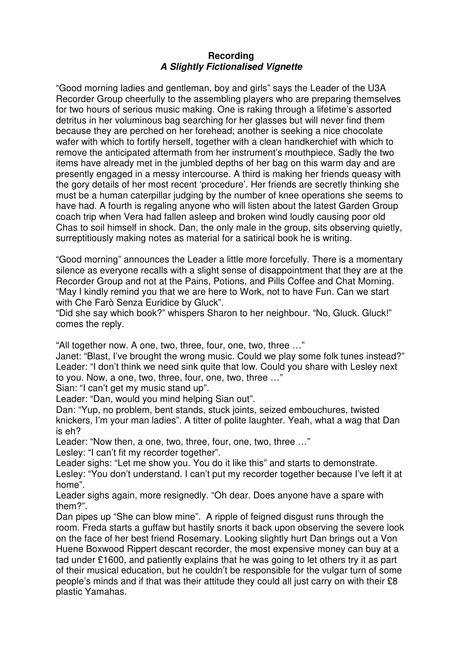## **Recording A Slightly Fictionalised Vignette**

"Good morning ladies and gentleman, boy and girls" says the Leader of the U3A Recorder Group cheerfully to the assembling players who are preparing themselves for two hours of serious music making. One is raking through a lifetime's assorted detritus in her voluminous bag searching for her glasses but will never find them because they are perched on her forehead; another is seeking a nice chocolate wafer with which to fortify herself, together with a clean handkerchief with which to remove the anticipated aftermath from her instrument's mouthpiece. Sadly the two items have already met in the jumbled depths of her bag on this warm day and are presently engaged in a messy intercourse. A third is making her friends queasy with the gory details of her most recent 'procedure'. Her friends are secretly thinking she must be a human caterpillar judging by the number of knee operations she seems to have had. A fourth is regaling anyone who will listen about the latest Garden Group coach trip when Vera had fallen asleep and broken wind loudly causing poor old Chas to soil himself in shock. Dan, the only male in the group, sits observing quietly, surreptitiously making notes as material for a satirical book he is writing.

"Good morning" announces the Leader a little more forcefully. There is a momentary silence as everyone recalls with a slight sense of disappointment that they are at the Recorder Group and not at the Pains, Potions, and Pills Coffee and Chat Morning. "May I kindly remind you that we are here to Work, not to have Fun. Can we start with Che Farò Senza Euridice by Gluck".

"Did she say which book?" whispers Sharon to her neighbour. "No, Gluck. Gluck!" comes the reply.

"All together now. A one, two, three, four, one, two, three …"

Janet: "Blast, I've brought the wrong music. Could we play some folk tunes instead?" Leader: "I don't think we need sink quite that low. Could you share with Lesley next to you. Now, a one, two, three, four, one, two, three …"

Sian: "I can't get my music stand up".

Leader: "Dan, would you mind helping Sian out".

Dan: "Yup, no problem, bent stands, stuck joints, seized embouchures, twisted knickers, I'm your man ladies". A titter of polite laughter. Yeah, what a wag that Dan is eh?

Leader: "Now then, a one, two, three, four, one, two, three …"

Lesley: "I can't fit my recorder together".

Leader sighs: "Let me show you. You do it like this" and starts to demonstrate. Lesley: "You don't understand. I can't put my recorder together because I've left it at home".

Leader sighs again, more resignedly. "Oh dear. Does anyone have a spare with them?".

Dan pipes up "She can blow mine". A ripple of feigned disgust runs through the room. Freda starts a guffaw but hastily snorts it back upon observing the severe look on the face of her best friend Rosemary. Looking slightly hurt Dan brings out a Von Huene Boxwood Rippert descant recorder, the most expensive money can buy at a tad under £1600, and patiently explains that he was going to let others try it as part of their musical education, but he couldn't be responsible for the vulgar turn of some people's minds and if that was their attitude they could all just carry on with their £8 plastic Yamahas.